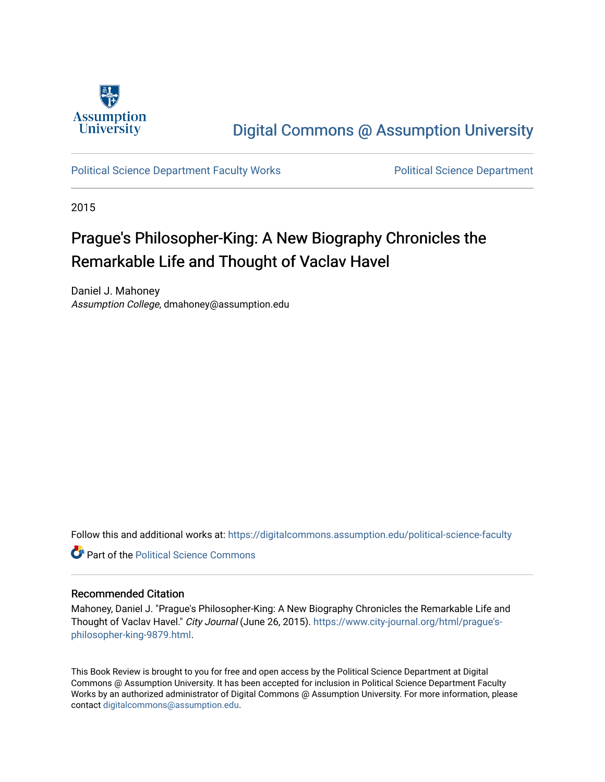

## [Digital Commons @ Assumption University](https://digitalcommons.assumption.edu/)

[Political Science Department Faculty Works](https://digitalcommons.assumption.edu/political-science-faculty) **Political Science Department** 

2015

## Prague's Philosopher-King: A New Biography Chronicles the Remarkable Life and Thought of Vaclav Havel

Daniel J. Mahoney Assumption College, dmahoney@assumption.edu

Follow this and additional works at: [https://digitalcommons.assumption.edu/political-science-faculty](https://digitalcommons.assumption.edu/political-science-faculty?utm_source=digitalcommons.assumption.edu%2Fpolitical-science-faculty%2F59&utm_medium=PDF&utm_campaign=PDFCoverPages)

**C** Part of the Political Science Commons

## Recommended Citation

Mahoney, Daniel J. "Prague's Philosopher-King: A New Biography Chronicles the Remarkable Life and Thought of Vaclav Havel." City Journal (June 26, 2015). [https://www.city-journal.org/html/prague's](https://www.city-journal.org/html/prague%E2%80%99s-philosopher-king-9879.html)[philosopher-king-9879.html.](https://www.city-journal.org/html/prague%E2%80%99s-philosopher-king-9879.html)

This Book Review is brought to you for free and open access by the Political Science Department at Digital Commons @ Assumption University. It has been accepted for inclusion in Political Science Department Faculty Works by an authorized administrator of Digital Commons @ Assumption University. For more information, please contact [digitalcommons@assumption.edu.](mailto:digitalcommons@assumption.edu)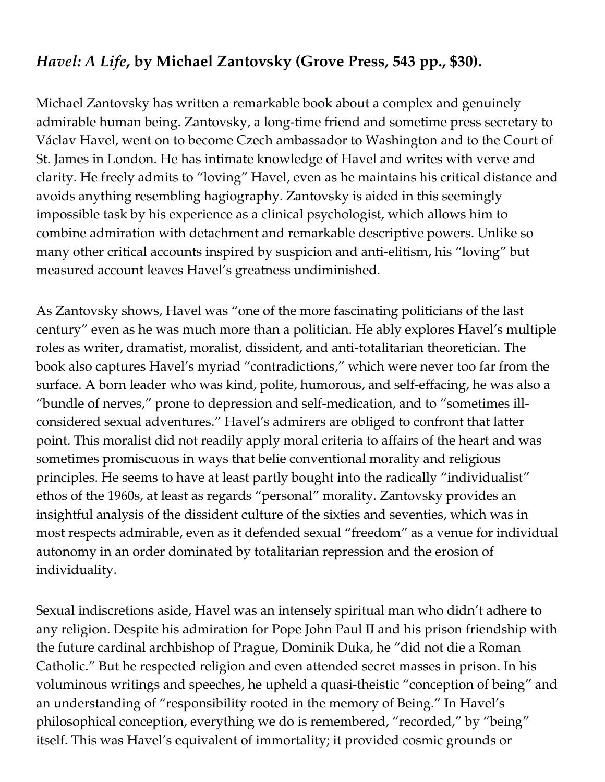## *[Havel:](http://www.amazon.com/exec/obidos/ASIN/0802123155/manhattaninstitu/) A Life***, by Michael Zantovsky (Grove Press, 543 pp., \$30).**

Michael Zantovsky has written a remarkable book about a complex and genuinely admirable human being. Zantovsky, a long-time friend and sometime press secretary to Václav Havel, went on to become Czech ambassador to Washington and to the Court of St. James in London. He has intimate knowledge of Havel and writes with verve and clarity. He freely admits to "loving" Havel, even as he maintains his critical distance and avoids anything resembling hagiography. Zantovsky is aided in this seemingly impossible task by his experience as a clinical psychologist, which allows him to combine admiration with detachment and remarkable descriptive powers. Unlike so many other critical accounts inspired by suspicion and anti-elitism, his "loving" but measured account leaves Havel's greatness undiminished.

As Zantovsky shows, Havel was "one of the more fascinating politicians of the last century" even as he was much more than a politician. He ably explores Havel's multiple roles as writer, dramatist, moralist, dissident, and anti-totalitarian theoretician. The book also captures Havel's myriad "contradictions," which were never too far from the surface. A born leader who was kind, polite, humorous, and self-effacing, he was also a "bundle of nerves," prone to depression and self-medication, and to "sometimes illconsidered sexual adventures." Havel's admirers are obliged to confront that latter point. This moralist did not readily apply moral criteria to affairs of the heart and was sometimes promiscuous in ways that belie conventional morality and religious principles. He seems to have at least partly bought into the radically "individualist" ethos of the 1960s, at least as regards "personal" morality. Zantovsky provides an insightful analysis of the dissident culture of the sixties and seventies, which was in most respects admirable, even as it defended sexual "freedom" as a venue for individual autonomy in an order dominated by totalitarian repression and the erosion of individuality.

Sexual indiscretions aside, Havel was an intensely spiritual man who didn't adhere to any religion. Despite his admiration for Pope John Paul II and his prison friendship with the future cardinal archbishop of Prague, Dominik Duka, he "did not die a Roman Catholic." But he respected religion and even attended secret masses in prison. In his voluminous writings and speeches, he upheld a quasi-theistic "conception of being" and an understanding of "responsibility rooted in the memory of Being." In Havel's philosophical conception, everything we do is remembered, "recorded," by "being" itself. This was Havel's equivalent of immortality; it provided cosmic grounds or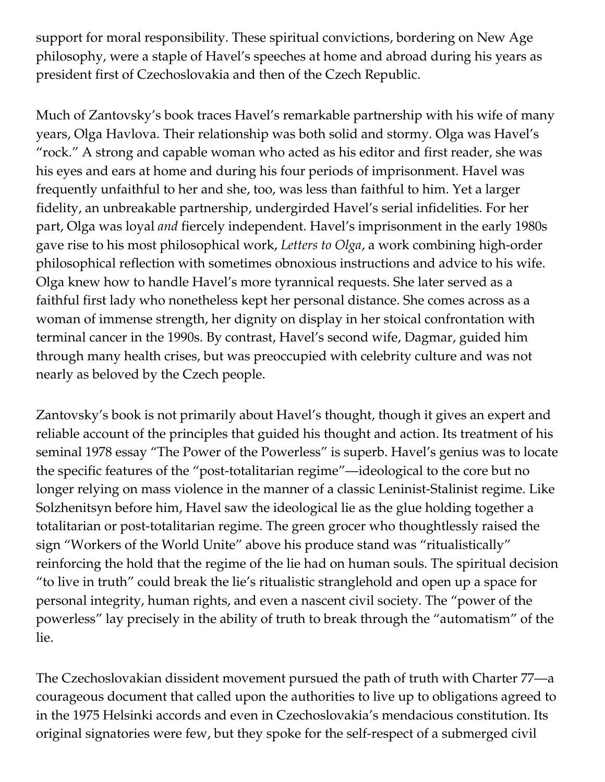support for moral responsibility. These spiritual convictions, bordering on New Age philosophy, were a staple of Havel's speeches at home and abroad during his years as president first of Czechoslovakia and then of the Czech Republic.

Much of Zantovsky's book traces Havel's remarkable partnership with his wife of many years, Olga Havlova. Their relationship was both solid and stormy. Olga was Havel's "rock." A strong and capable woman who acted as his editor and first reader, she was his eyes and ears at home and during his four periods of imprisonment. Havel was frequently unfaithful to her and she, too, was less than faithful to him. Yet a larger fidelity, an unbreakable partnership, undergirded Havel's serial infidelities. For her part, Olga was loyal *and* fiercely independent. Havel's imprisonment in the early 1980s gave rise to his most philosophical work, *Letters to Olga*, a work combining high-order philosophical reflection with sometimes obnoxious instructions and advice to his wife. Olga knew how to handle Havel's more tyrannical requests. She later served as a faithful first lady who nonetheless kept her personal distance. She comes across as a woman of immense strength, her dignity on display in her stoical confrontation with terminal cancer in the 1990s. By contrast, Havel's second wife, Dagmar, guided him through many health crises, but was preoccupied with celebrity culture and was not nearly as beloved by the Czech people.

Zantovsky's book is not primarily about Havel's thought, though it gives an expert and reliable account of the principles that guided his thought and action. Its treatment of his seminal 1978 essay "The Power of the Powerless" is superb. Havel's genius was to locate the specific features of the "post-totalitarian regime"—ideological to the core but no longer relying on mass violence in the manner of a classic Leninist-Stalinist regime. Like Solzhenitsyn before him, Havel saw the ideological lie as the glue holding together a totalitarian or post-totalitarian regime. The green grocer who thoughtlessly raised the sign "Workers of the World Unite" above his produce stand was "ritualistically" reinforcing the hold that the regime of the lie had on human souls. The spiritual decision "to live in truth" could break the lie's ritualistic stranglehold and open up a space for personal integrity, human rights, and even a nascent civil society. The "power of the powerless" lay precisely in the ability of truth to break through the "automatism" of the lie.

The Czechoslovakian dissident movement pursued the path of truth with Charter 77—a courageous document that called upon the authorities to live up to obligations agreed to in the 1975 Helsinki accords and even in Czechoslovakia's mendacious constitution. Its original signatories were few, but they spoke for the self-respect of a submerged civil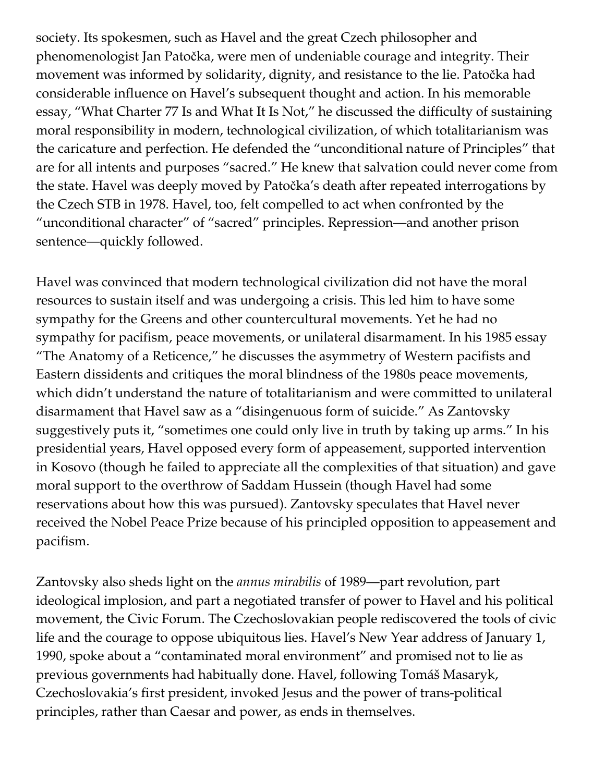society. Its spokesmen, such as Havel and the great Czech philosopher and phenomenologist Jan Patočka, were men of undeniable courage and integrity. Their movement was informed by solidarity, dignity, and resistance to the lie. Patočka had considerable influence on Havel's subsequent thought and action. In his memorable essay, "What Charter 77 Is and What It Is Not," he discussed the difficulty of sustaining moral responsibility in modern, technological civilization, of which totalitarianism was the caricature and perfection. He defended the "unconditional nature of Principles" that are for all intents and purposes "sacred." He knew that salvation could never come from the state. Havel was deeply moved by Patočka's death after repeated interrogations by the Czech STB in 1978. Havel, too, felt compelled to act when confronted by the "unconditional character" of "sacred" principles. Repression—and another prison sentence—quickly followed.

Havel was convinced that modern technological civilization did not have the moral resources to sustain itself and was undergoing a crisis. This led him to have some sympathy for the Greens and other countercultural movements. Yet he had no sympathy for pacifism, peace movements, or unilateral disarmament. In his 1985 essay "The Anatomy of a Reticence," he discusses the asymmetry of Western pacifists and Eastern dissidents and critiques the moral blindness of the 1980s peace movements, which didn't understand the nature of totalitarianism and were committed to unilateral disarmament that Havel saw as a "disingenuous form of suicide." As Zantovsky suggestively puts it, "sometimes one could only live in truth by taking up arms." In his presidential years, Havel opposed every form of appeasement, supported intervention in Kosovo (though he failed to appreciate all the complexities of that situation) and gave moral support to the overthrow of Saddam Hussein (though Havel had some reservations about how this was pursued). Zantovsky speculates that Havel never received the Nobel Peace Prize because of his principled opposition to appeasement and pacifism.

Zantovsky also sheds light on the *annus mirabilis* of 1989—part revolution, part ideological implosion, and part a negotiated transfer of power to Havel and his political movement, the Civic Forum. The Czechoslovakian people rediscovered the tools of civic life and the courage to oppose ubiquitous lies. Havel's New Year address of January 1, 1990, spoke about a "contaminated moral environment" and promised not to lie as previous governments had habitually done. Havel, following Tomáš Masaryk, Czechoslovakia's first president, invoked Jesus and the power of trans-political principles, rather than Caesar and power, as ends in themselves.